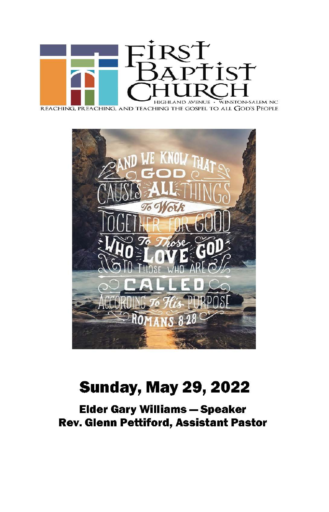

REACHING, PREACHING, AND TEACHING THE GOSPEL TO ALL GOD'S PEOPLE



# **Sunday, May 29, 2022**

**Elder Gary Williams - Speaker** Rev. Glenn Pettiford, Assistant Pastor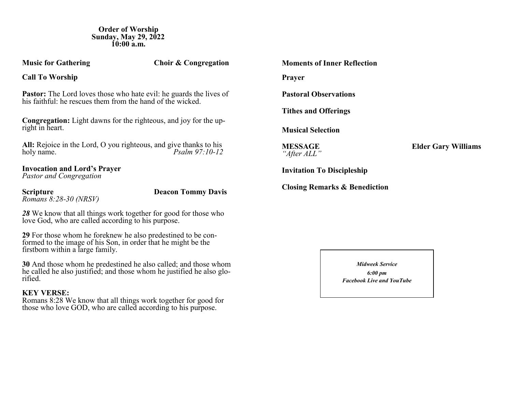**Order of Worship Sunday, May 29, 2022 10:00 a.m.**

**Music for Gathering Choir & Congregation** 

**Call To Worship**

**Pastor:** The Lord loves those who hate evil: he guards the lives of his faithful: he rescues them from the hand of the wicked.

**Congregation:** Light dawns for the righteous, and joy for the upright in heart.

All: Rejoice in the Lord, O you righteous, and give thanks to his holy name.<br>*Psalm 97:10-12 Psalm 97:10-12* 

# **Invocation and Lord's Prayer**

*Pastor and Congregation*

*Romans 8:28-30 (NRSV)*

**Scripture Deacon Tommy Davis** 

*28* We know that all things work together for good for those who love God, who are called according to his purpose.

**29** For those whom he foreknew he also predestined to be conformed to the image of his Son, in order that he might be the firstborn within a large family.

**30** And those whom he predestined he also called; and those whom he called he also justified; and those whom he justified he also glorified.

## **KEY VERSE:**

Romans 8:28 We know that all things work together for good for those who love GOD, who are called according to his purpose.

| Moments of Inner Reflection              |
|------------------------------------------|
| <b>Prayer</b>                            |
| <b>Pastoral Observations</b>             |
| <b>Tithes and Offerings</b>              |
| <b>Musical Selection</b>                 |
| MESSAGE<br>"After ALL"                   |
| <b>Invitation To Discipleship</b>        |
| <b>Closing Remarks &amp; Benediction</b> |

*Midweek Service 6:00 pm Facebook Live and YouTube*

**Elder Gary Williams**